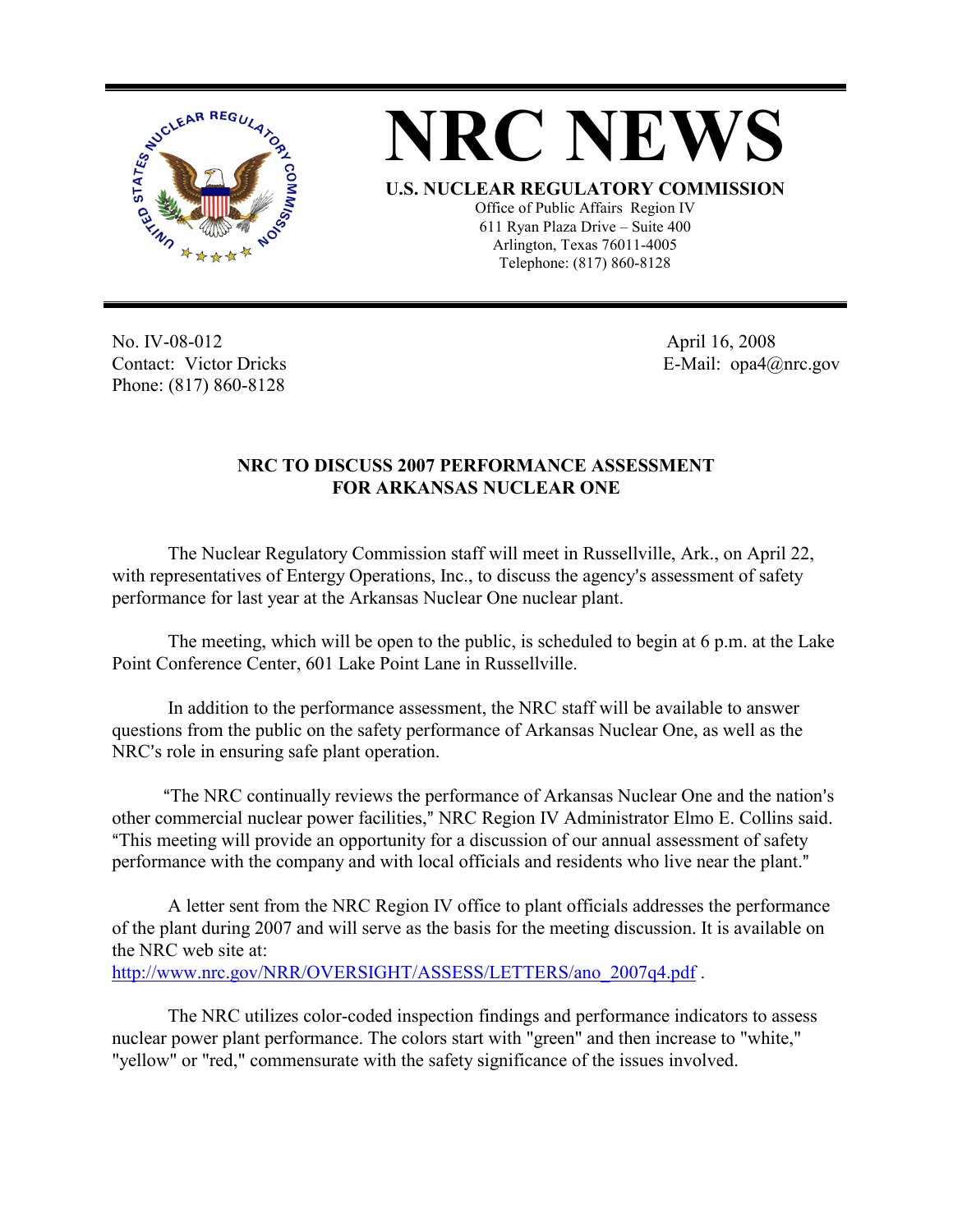



No. IV-08-012 Contact: Victor Dricks Phone: (817) 860-8128

 April 16, 2008 E-Mail: opa4@nrc.gov

## **NRC TO DISCUSS 2007 PERFORMANCE ASSESSMENT FOR ARKANSAS NUCLEAR ONE**

The Nuclear Regulatory Commission staff will meet in Russellville, Ark., on April 22, with representatives of Entergy Operations, Inc., to discuss the agency's assessment of safety performance for last year at the Arkansas Nuclear One nuclear plant.

The meeting, which will be open to the public, is scheduled to begin at 6 p.m. at the Lake Point Conference Center, 601 Lake Point Lane in Russellville.

In addition to the performance assessment, the NRC staff will be available to answer questions from the public on the safety performance of Arkansas Nuclear One, as well as the NRC's role in ensuring safe plant operation.

"The NRC continually reviews the performance of Arkansas Nuclear One and the nation's other commercial nuclear power facilities," NRC Region IV Administrator Elmo E. Collins said. "This meeting will provide an opportunity for a discussion of our annual assessment of safety performance with the company and with local officials and residents who live near the plant."

A letter sent from the NRC Region IV office to plant officials addresses the performance of the plant during 2007 and will serve as the basis for the meeting discussion. It is available on the NRC web site at: http://www.nrc.gov/NRR/OVERSIGHT/ASSESS/LETTERS/ano\_2007q4.pdf .

The NRC utilizes color-coded inspection findings and performance indicators to assess nuclear power plant performance. The colors start with "green" and then increase to "white," "yellow" or "red," commensurate with the safety significance of the issues involved.